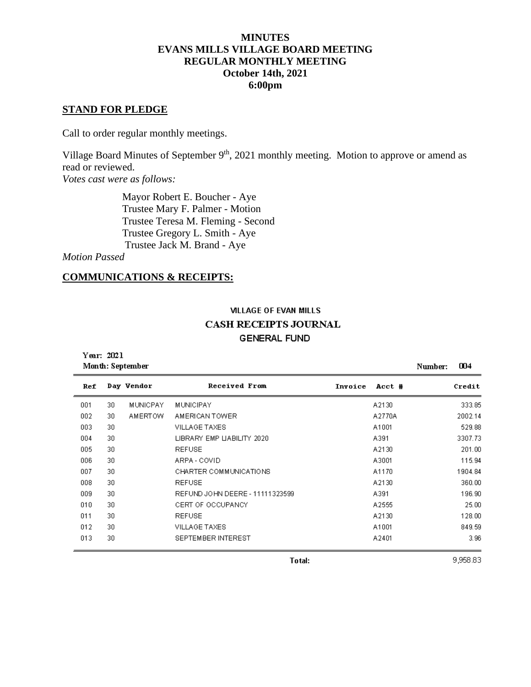# **MINUTES EVANS MILLS VILLAGE BOARD MEETING REGULAR MONTHLY MEETING October 14th, 2021 6:00pm**

### **STAND FOR PLEDGE**

Call to order regular monthly meetings.

Village Board Minutes of September 9<sup>th</sup>, 2021 monthly meeting. Motion to approve or amend as read or reviewed.

*Votes cast were as follows:*

 Mayor Robert E. Boucher - Aye Trustee Mary F. Palmer - Motion Trustee Teresa M. Fleming - Second Trustee Gregory L. Smith - Aye Trustee Jack M. Brand - Aye

*Motion Passed*

Year: 2021

# **COMMUNICATIONS & RECEIPTS:**

# **VILLAGE OF EVAN MILLS CASH RECEIPTS JOURNAL GENERAL FUND**

| Month: September | 004<br>Number:         |                                 |                   |         |
|------------------|------------------------|---------------------------------|-------------------|---------|
| Ref              | Day Vendor             | Received From                   | Invoice<br>Acct # | Credit  |
| 001              | 30.<br><b>MUNICPAY</b> | <b>MUNICIPAY</b>                | A2130             | 333.85  |
| 002              | 30<br><b>AMERTOW</b>   | AMERICAN TOWER                  | A2770A            | 2002.14 |
| 003              | 30                     | VILLAGE TAXES                   | A1001             | 529.88  |
| 004              | 30                     | LIBRARY EMP LIABILITY 2020      | A391              | 3307.73 |
| 005              | 30                     | <b>REFUSE</b>                   | A2130             | 201.00  |
| 006              | 30                     | ARPA - COVID                    | A3001             | 115.94  |
| 007              | 30                     | CHARTER COMMUNICATIONS          | A1170             | 1904.84 |
| 008              | 30                     | <b>REFUSE</b>                   | A2130             | 360.00  |
| 009              | 30                     | REFUND JOHN DEERE - 11111323599 | A391              | 196.90  |
| 010              | 30                     | CERT OF OCCUPANCY               | A2555             | 25.00   |
| 011              | 30                     | <b>REFUSE</b>                   | A2130             | 128.00  |
| 012              | 30                     | VILLAGE TAXES                   | A1001             | 849.59  |
| 013              | 30                     | SEPTEMBER INTEREST              | A2401             | 3.96    |

9,958.83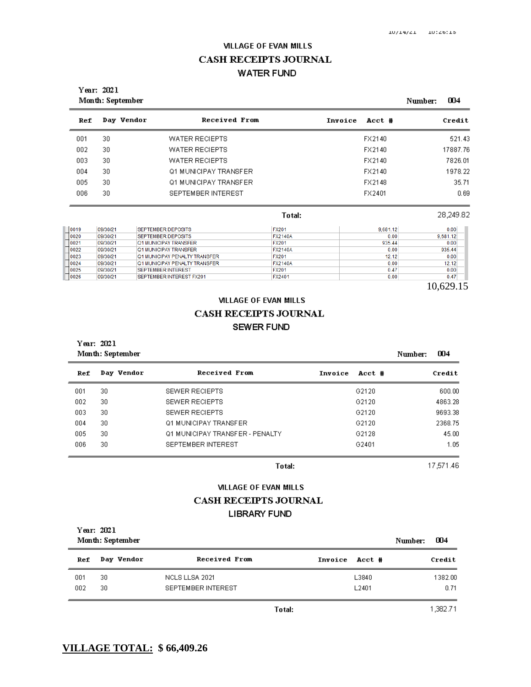# **VILLAGE OF EVAN MILLS CASH RECEIPTS JOURNAL WATER FUND**

|      | Year: 2021<br>004<br>Month: September<br>Number: |                                      |                |         |          |  |           |  |  |
|------|--------------------------------------------------|--------------------------------------|----------------|---------|----------|--|-----------|--|--|
| Ref  | Day Vendor                                       | Received From                        |                | Invoice | Acct #   |  | Credit    |  |  |
| 001  | 30                                               | <b>WATER RECIEPTS</b>                |                |         | FX2140   |  | 521.43    |  |  |
| 002  | 30                                               | <b>WATER RECIEPTS</b>                |                |         | FX2140   |  | 17887.76  |  |  |
| 003  | 30                                               | <b>WATER RECIEPTS</b>                |                |         | FX2140   |  | 7826.01   |  |  |
| 004  | 30                                               | Q1 MUNICIPAY TRANSFER                |                |         | FX2140   |  | 1978.22   |  |  |
| 005  | 30                                               | Q1 MUNICIPAY TRANSFER                |                |         | FX2148   |  | 35.71     |  |  |
| 006  | 30                                               | SEPTEMBER INTEREST                   |                |         | FX2401   |  | 0.69      |  |  |
|      |                                                  |                                      | Total:         |         |          |  | 28.249.82 |  |  |
| 0019 | 09/30/21                                         | <b>SEPTEMBER DEPOSITS</b>            | <b>FX201</b>   |         | 9.681.12 |  | 0.00      |  |  |
| 0020 | 09/30/21                                         | <b>SEPTEMBER DEPOSITS</b>            | <b>FX2140A</b> |         | 0.00     |  | 9,681.12  |  |  |
| 0021 | 09/30/21                                         | <b>Q1 MUNICIPAY TRANSFER</b>         | <b>FX201</b>   |         | 935.44   |  | 0.00      |  |  |
| 0022 | 09/30/21                                         | <b>Q1 MUNICIPAY TRANSFER</b>         | <b>FX2140A</b> |         | 0.00     |  | 935.44    |  |  |
| 0023 | 09/30/21                                         | <b>Q1 MUNICIPAY PENALTY TRANSFER</b> | <b>FX201</b>   |         | 12.12    |  | 0.00      |  |  |
| 0024 | 09/30/21                                         | <b>Q1 MUNICIPAY PENALTY TRANSFER</b> | <b>FX2140A</b> |         | 0.00     |  | 12.12     |  |  |
| 0025 | 09/30/21                                         | <b>SEPTEMBER INTEREST</b>            | <b>FX201</b>   |         | 0.47     |  | 0.00      |  |  |
| 0026 | 09/30/21                                         | SEPTEMBER INTEREST FX201             | <b>FX2401</b>  |         | 0.00     |  | 0.47      |  |  |

10,629.15

# **VILLAGE OF EVAN MILLS CASH RECEIPTS JOURNAL SEWER FUND**

Year: 2021 Month: September 004 Number: Day Vendor **Received From**  $Ref$ Invoice Acct # Credit 30 SEWER RECIEPTS G2120  $600.00$ 001 SEWER RECIEPTS 002 30 G2120 4863.28 003 30 SEWER RECIEPTS G2120 9693.38 004 30 Q1 MUNICIPAY TRANSFER G2120 2368.75 005 30 Q1 MUNICIPAY TRANSFER - PENALTY G2128 45.00 006  $30<sub>1</sub>$ SEPTEMBER INTEREST G2401 1.05

Total:

17,571.46

#### **VILLAGE OF EVAN MILLS**

### CASH RECEIPTS JOURNAL

#### **LIBRARY FUND**

| Year: 2021<br>Month: September | 004<br>Number: |                    |                   |         |
|--------------------------------|----------------|--------------------|-------------------|---------|
| Ref                            | Day Vendor     | Received From      | Invoice<br>Acct # | Credit  |
| 001                            | 30             | NCLS LLSA 2021     | L3840             | 1382.00 |
| 002                            | 30             | SEPTEMBER INTEREST | L2401             | 0.71    |

Total:

1,382.71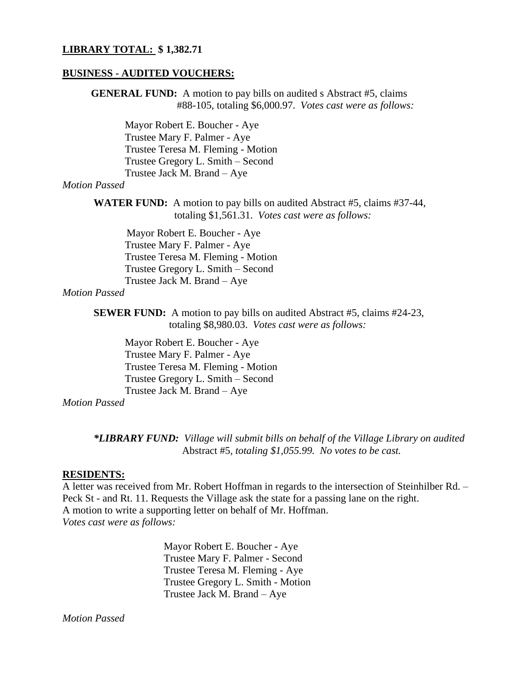### **LIBRARY TOTAL: \$ 1,382.71**

### **BUSINESS - AUDITED VOUCHERS:**

**GENERAL FUND:** A motion to pay bills on audited s Abstract #5, claims #88-105, totaling \$6,000.97. *Votes cast were as follows:* Mayor Robert E. Boucher - Aye Trustee Mary F. Palmer - Aye Trustee Teresa M. Fleming - Motion Trustee Gregory L. Smith – Second Trustee Jack M. Brand – Aye *Motion Passed* **WATER FUND:** A motion to pay bills on audited Abstract #5, claims #37-44, totaling \$1,561.31. *Votes cast were as follows:* Mayor Robert E. Boucher - Aye Trustee Mary F. Palmer - Aye Trustee Teresa M. Fleming - Motion Trustee Gregory L. Smith – Second Trustee Jack M. Brand – Aye *Motion Passed* **SEWER FUND:** A motion to pay bills on audited Abstract #5, claims #24-23, totaling \$8,980.03. *Votes cast were as follows:* Mayor Robert E. Boucher - Aye Trustee Mary F. Palmer - Aye Trustee Teresa M. Fleming - Motion Trustee Gregory L. Smith – Second Trustee Jack M. Brand – Aye *Motion Passed*

*\*LIBRARY FUND: Village will submit bills on behalf of the Village Library on audited* Abstract #5*, totaling \$1,055.99. No votes to be cast.*

### **RESIDENTS:**

A letter was received from Mr. Robert Hoffman in regards to the intersection of Steinhilber Rd. – Peck St - and Rt. 11. Requests the Village ask the state for a passing lane on the right. A motion to write a supporting letter on behalf of Mr. Hoffman. *Votes cast were as follows:*

> Mayor Robert E. Boucher - Aye Trustee Mary F. Palmer - Second Trustee Teresa M. Fleming - Aye Trustee Gregory L. Smith - Motion Trustee Jack M. Brand – Aye

*Motion Passed*